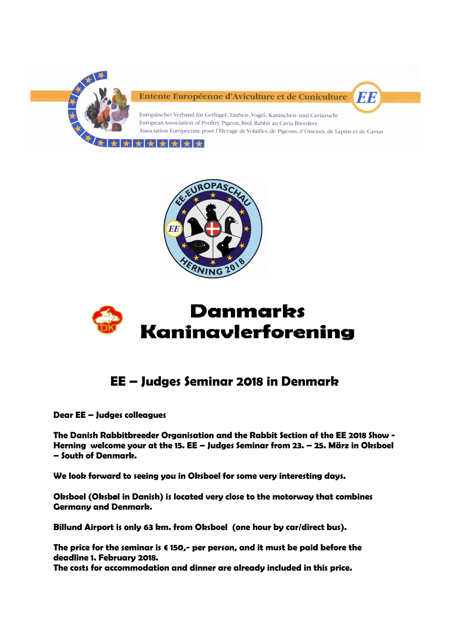

Entente Européenne d'Aviculture et de Cuniculture



Europäischer Verband für Geflügel-, Tauben-, Vogel-, Kaninchen- und Caviazucht European Association of Poultry, Pigeon, Bird, Rabbit an Cavia Breeders Association Européenne pour l'Elevage de Volailles, de Pigeons, d'Oiseaux, de Lapins et de Cavias







# **EE – Judges Seminar 2018 in Denmark**

**Dear EE – Judges colleagues** 

**The Danish Rabbitbreeder Organisation and the Rabbit Section af the EE 2018 Show - Herning welcome your at the 15. EE – Judges Seminar from 23. – 25. März in Oksboel – South of Denmark.** 

**We look forward to seeing you in Oksboel for some very interesting days.** 

**Oksboel (Oksbøl in Danish) is located very close to the motorway that combines Germany and Denmark.** 

**Billund Airport is only 63 km. from Oksboel (one hour by car/direct bus).** 

**The price for the seminar is € 150,- per person, and it must be paid before the deadline 1. February 2018.** 

**The costs for accommodation and dinner are already included in this price.**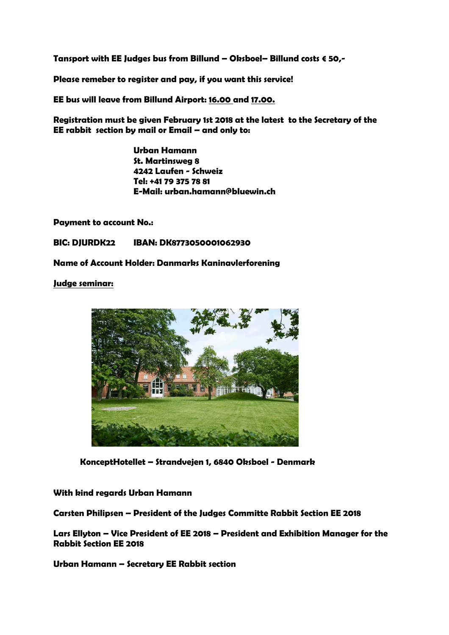**Tansport with EE Judges bus from Billund – Oksboel– Billund costs € 50,-** 

**Please remeber to register and pay, if you want this service!** 

**EE bus will leave from Billund Airport: 16.00 and 17.00.** 

**Registration must be given February 1st 2018 at the latest to the Secretary of the EE rabbit section by mail or Email – and only to:** 

> **Urban Hamann St. Martinsweg 8 4242 Laufen - Schweiz Tel: +41 79 375 78 81 E-Mail: urban.hamann@bluewin.ch**

**Payment to account No.:** 

**BIC: DJURDK22 IBAN: DK8773050001062930** 

**Name of Account Holder: Danmarks Kaninavlerforening**

**Judge seminar:** 



 **KonceptHotellet – Strandvejen 1, 6840 Oksboel - Denmark** 

# **With kind regards Urban Hamann**

**Carsten Philipsen – President of the Judges Committe Rabbit Section EE 2018** 

**Lars Ellyton – Vice President of EE 2018 – President and Exhibition Manager for the Rabbit Section EE 2018** 

**Urban Hamann – Secretary EE Rabbit section**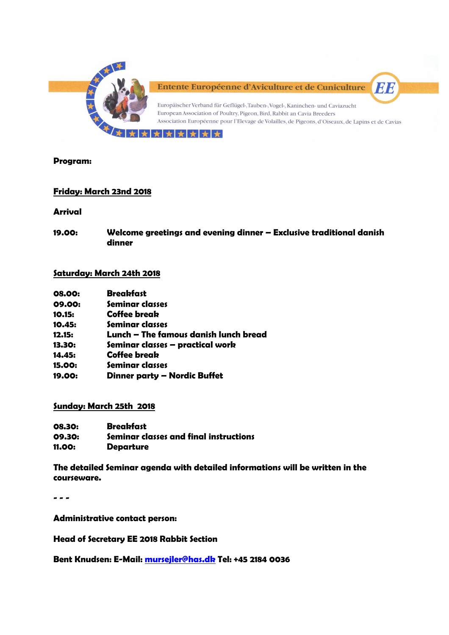

# **Program:**

# **Friday: March 23nd 2018**

#### **Arrival**

**19.00: Welcome greetings and evening dinner – Exclusive traditional danish dinner** 

# **Saturday: March 24th 2018**

| 08.00:         | <b>Breakfast</b>    |
|----------------|---------------------|
| 09.00:         | Seminar classes     |
| 10.15:         | <b>Coffee break</b> |
| 4 <b>a</b> Ap. | Canalman almaana    |

- **10.45: Seminar classes 12.15: Lunch – The famous danish lunch bread**
- 
- **13.30: Seminar classes practical work**
- **14.45: Coffee break**
- **15.00: Seminar classes**
- **19.00: Dinner party Nordic Buffet**

#### **Sunday: March 25th 2018**

| 08.30:        | <b>Breakfast</b>                       |
|---------------|----------------------------------------|
| 09.30:        | Seminar classes and final instructions |
| <b>11.00:</b> | <b>Departure</b>                       |

**The detailed Seminar agenda with detailed informations will be written in the courseware.** 

**- - -** 

**Administrative contact person:** 

**Head of Secretary EE 2018 Rabbit Section** 

**Bent Knudsen: E-Mail: mursejler@has.dk Tel: +45 2184 0036**